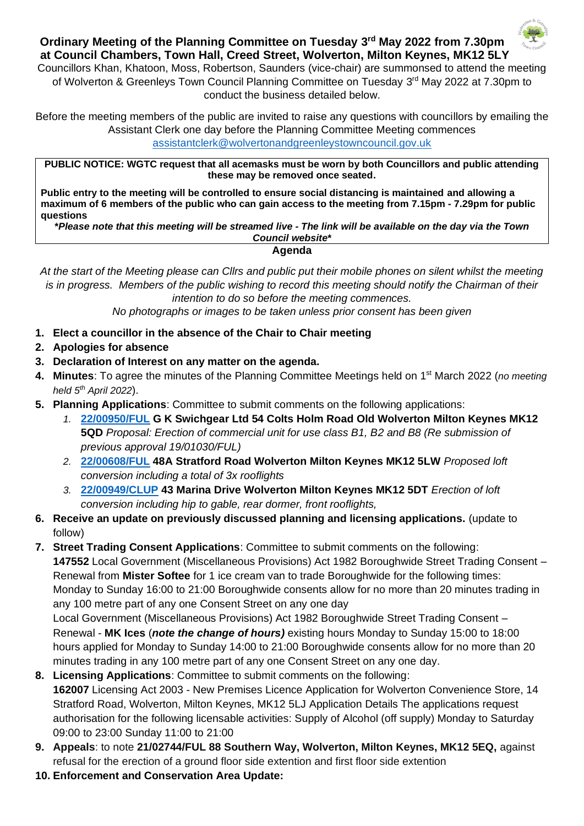

**Ordinary Meeting of the Planning Committee on Tuesday 3 rd May 2022 from 7.30pm at Council Chambers, Town Hall, Creed Street, Wolverton, Milton Keynes, MK12 5LY** 

Councillors Khan, Khatoon, Moss, Robertson, Saunders (vice-chair) are summonsed to attend the meeting of Wolverton & Greenleys Town Council Planning Committee on Tuesday 3<sup>rd</sup> May 2022 at 7.30pm to conduct the business detailed below.

Before the meeting members of the public are invited to raise any questions with councillors by emailing the Assistant Clerk one day before the Planning Committee Meeting commences [assistantclerk@wolvertonandgreenleystowncouncil.gov.uk](mailto:assistantclerk@wolvertonandgreenleystowncouncil.gov.uk)

**PUBLIC NOTICE: WGTC request that all acemasks must be worn by both Councillors and public attending these may be removed once seated.** 

**Public entry to the meeting will be controlled to ensure social distancing is maintained and allowing a maximum of 6 members of the public who can gain access to the meeting from 7.15pm - 7.29pm for public questions**

**\****Please note that this meeting will be streamed live - The link will be available on the day via the Town Council website***\***

**Agenda**

*At the start of the Meeting please can Cllrs and public put their mobile phones on silent whilst the meeting is in progress. Members of the public wishing to record this meeting should notify the Chairman of their intention to do so before the meeting commences.* 

*No photographs or images to be taken unless prior consent has been given*

- **1. Elect a councillor in the absence of the Chair to Chair meeting**
- **2. Apologies for absence**
- **3. Declaration of Interest on any matter on the agenda.**
- 4. Minutes: To agree the minutes of the Planning Committee Meetings held on 1<sup>st</sup> March 2022 (no meeting *held 5 th April 2022*).
- **5. Planning Applications**: Committee to submit comments on the following applications:
	- *1.* **[22/00950/FUL](https://npaedms.milton-keynes.gov.uk/PublicAccess_Corplive/SearchResult/RunThirdPartySearch?FileSystemId=DC&FOLDER1_REF=22/00950/FUL) G K Swichgear Ltd 54 Colts Holm Road Old Wolverton Milton Keynes MK12 5QD** *Proposal: Erection of commercial unit for use class B1, B2 and B8 (Re submission of previous approval 19/01030/FUL)*
	- *2.* **[22/00608/FUL](https://npaedms.milton-keynes.gov.uk/PublicAccess_Corplive/SearchResult/RunThirdPartySearch?FileSystemId=DC&FOLDER1_REF=22/00608/FUL) 48A Stratford Road Wolverton Milton Keynes MK12 5LW** *Proposed loft conversion including a total of 3x rooflights*
	- *3.* **[22/00949/CLUP](https://npaedms.milton-keynes.gov.uk/PublicAccess_Corplive/SearchResult/RunThirdPartySearch?FileSystemId=DC&FOLDER1_REF=22/00949/CLUP) 43 Marina Drive Wolverton Milton Keynes MK12 5DT** *Erection of loft conversion including hip to gable, rear dormer, front rooflights,*
- **6. Receive an update on previously discussed planning and licensing applications.** (update to follow)
- **7. Street Trading Consent Applications**: Committee to submit comments on the following: **147552** Local Government (Miscellaneous Provisions) Act 1982 Boroughwide Street Trading Consent – Renewal from **Mister Softee** for 1 ice cream van to trade Boroughwide for the following times: Monday to Sunday 16:00 to 21:00 Boroughwide consents allow for no more than 20 minutes trading in any 100 metre part of any one Consent Street on any one day

Local Government (Miscellaneous Provisions) Act 1982 Boroughwide Street Trading Consent – Renewal - **MK Ices** (*note the change of hours)* existing hours Monday to Sunday 15:00 to 18:00 hours applied for Monday to Sunday 14:00 to 21:00 Boroughwide consents allow for no more than 20 minutes trading in any 100 metre part of any one Consent Street on any one day.

- **8. Licensing Applications**: Committee to submit comments on the following: **162007** Licensing Act 2003 - New Premises Licence Application for Wolverton Convenience Store, 14 Stratford Road, Wolverton, Milton Keynes, MK12 5LJ Application Details The applications request authorisation for the following licensable activities: Supply of Alcohol (off supply) Monday to Saturday 09:00 to 23:00 Sunday 11:00 to 21:00
- **9. Appeals**: to note **21/02744/FUL 88 Southern Way, Wolverton, Milton Keynes, MK12 5EQ,** against refusal for the erection of a ground floor side extention and first floor side extention
- **10. Enforcement and Conservation Area Update:**